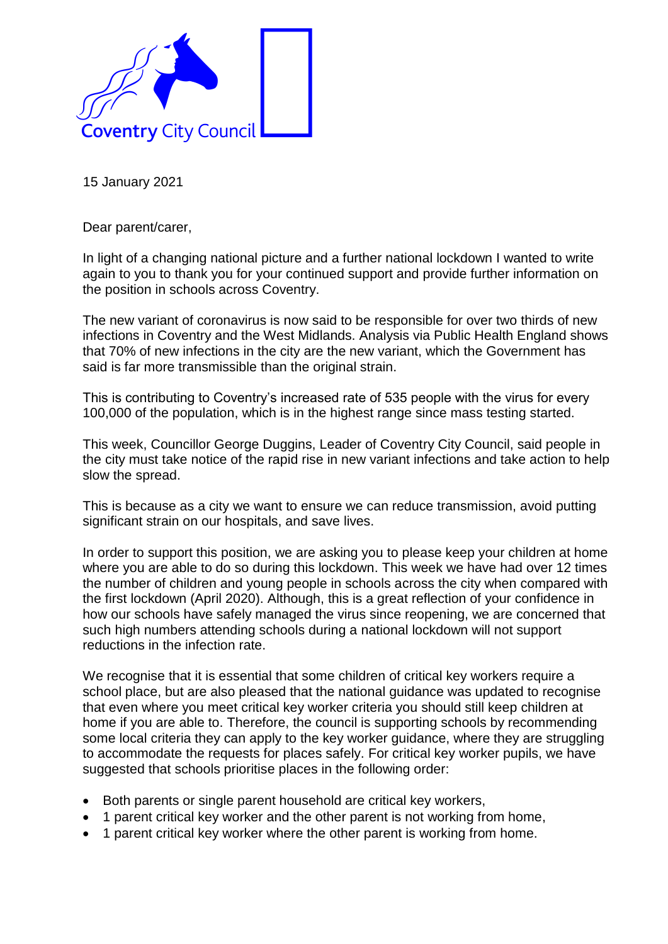

15 January 2021

Dear parent/carer,

In light of a changing national picture and a further national lockdown I wanted to write again to you to thank you for your continued support and provide further information on the position in schools across Coventry.

The new variant of coronavirus is now said to be responsible for over two thirds of new infections in Coventry and the West Midlands. Analysis via Public Health England shows that 70% of new infections in the city are the new variant, which the Government has said is far more transmissible than the original strain.

This is contributing to Coventry's increased rate of 535 people with the virus for every 100,000 of the population, which is in the highest range since mass testing started.

This week, Councillor George Duggins, Leader of Coventry City Council, said people in the city must take notice of the rapid rise in new variant infections and take action to help slow the spread.

This is because as a city we want to ensure we can reduce transmission, avoid putting significant strain on our hospitals, and save lives.

In order to support this position, we are asking you to please keep your children at home where you are able to do so during this lockdown. This week we have had over 12 times the number of children and young people in schools across the city when compared with the first lockdown (April 2020). Although, this is a great reflection of your confidence in how our schools have safely managed the virus since reopening, we are concerned that such high numbers attending schools during a national lockdown will not support reductions in the infection rate.

We recognise that it is essential that some children of critical key workers require a school place, but are also pleased that the national guidance was updated to recognise that even where you meet critical key worker criteria you should still keep children at home if you are able to. Therefore, the council is supporting schools by recommending some local criteria they can apply to the key worker guidance, where they are struggling to accommodate the requests for places safely. For critical key worker pupils, we have suggested that schools prioritise places in the following order:

- Both parents or single parent household are critical key workers,
- 1 parent critical key worker and the other parent is not working from home,
- 1 parent critical key worker where the other parent is working from home.